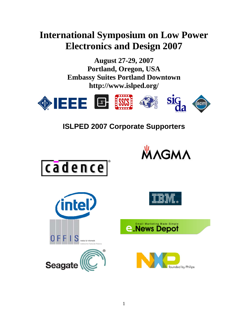# **International Symposium on Low Power Electronics and Design 2007**

**August 27-29, 2007 Portland, Oregon, USA Embassy Suites Portland Downtown http://www.islped.org/** 



**ISLPED 2007 Corporate Supporters**







WAGMA



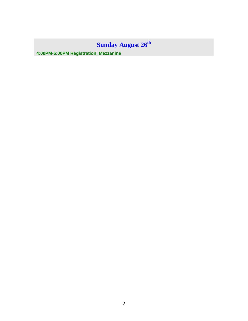# **Sunday August 26th**

**4:00PM-6:00PM Registration, Mezzanine**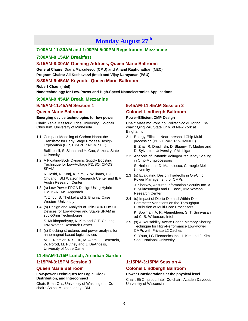# **Monday August 27th**

#### **7:00AM-11:30AM and 1:00PM-5:00PM Registration, Mezzanine**

#### **7:00AM-8:15AM Breakfast**

#### **8:15AM-8:30AM Opening Address, Queen Marie Ballroom**

**General Chairs: Diana Marculescu (CMU) and Anand Raghunathan (NEC) Program Chairs: Ali Keshavarzi (Intel) and Vijay Narayanan (PSU)**

#### **8:30AM-9:45AM Keynote, Queen Marie Ballroom**

**Robert Chau (Intel) Nanotechnology for Low-Power and High-Speed Nanoelectronics Applications** 

#### **9:30AM-9:45AM Break, Mezzanine**

#### **9:45AM-11:45AM Session 1**

#### **Queen Marie Ballroom**

#### **Emerging device technologies for low power**

Chair: Yehia Massoud, Rice University, Co-chair: Chris Kim, University of Minnesota

- 1.1 Compact Modeling of Carbon Nanotube Transistor for Early Stage Process-Design Exploration (BEST PAPER NOMINEE) Balijepallli, S. Sinha and Y. Cao, Arizona State **University**
- 1.2 A Floating-Body Dynamic Supply Boosting Technique for Low-Voltage PD/SOI CMOS SRAM

R. Joshi, R. Konj, K. Kim, R. Williams, C-T. Chuang, IBM Watson Research Center and IBM Austin Research Center

1.3 (s) Low Power FPGA Design Using Hybrid CMOS-NEMS Approach

Y. Zhou, S. Thekkel and S. Bhunia, Case Western University

1.4 (s) Design and Analysis of Thin-BOX FD/SOI Devices for Low-Power and Stable SRAM in sub-50nm Technologies

S. Mukhopadhyay, K. Kim and C-T. Chuang, IBM Watson Research Center

1.5 (s) Clocking structures and power analysis for nanomagnet-based logic devices

M. T. Niemier, X. S. Hu, M. Alam, G. Bernstein, W. Porod, M. Putney and J. DeAngelis, University of Notre Dame

#### **11:45AM-1:15P Lunch, Arcadian Garden**

#### **1:15PM-3:15PM Session 3**

#### **Queen Marie Ballroom**

**Low-power Techniques for Logic, Clock Distribution, and Interconnect** 

Chair: Brian Otis, University of Washington , Cochair : Saibal Mukhopadhay, IBM

#### **9:45AM-11:45AM Session 2**

#### **Colonel Lindbergh Ballroom**

#### **Power-Efficient CMP Design**

Chair: Massimo Poncino, Politecnico di Torino, Cochair : Qing Wu, State Univ. of New York at **Binghamton** 

- 2.1 Energy Efficient Near-threshold Chip Multiprocessing (BEST PAPER NOMINEE) B. Zhai, R. Dreslinski, D. Blaauw, T. Mudge and D. Sylvester, University of Michigan
- 2.2 Analysis of Dynamic Voltage/Frequency Scaling in Chip-Multiprocessors

S. Herbert and D. Marculescu, Carnegie Mellon **University** 

2.3 (s) Evaluating Design Tradeoffs in On-Chip Power Management for CMPs

J. Sharkey, Assured Information Security Inc. A. Buyuktosunoglu and P. Bose, IBM Watson Research Center

2.4 (s) Impact of Die-to-Die and Within-Die Parameter Variations on the Throughput Distribution of Multi-Core Processors

K. Bowman, A. R. Alameldeen, S. T. Srinivasan ad C. B. Wilkerson, Intel

2.5 (s) A Reusability-Aware Cache Memory Sharing Technique for High-Performance Low-Power CMPs with Private L2 Caches

S. Youn, LG Electronics Inc. H. Kim and J. Kim, Seoul National University

#### **1:15PM-3:15PM Session 4**

#### **Colonel Lindbergh Ballroom**

#### **Power Considerations at the physical level**

Chair: Eli Chiprout, Intel, Co-chair : Azadeh Davoodi, University of Wisconsin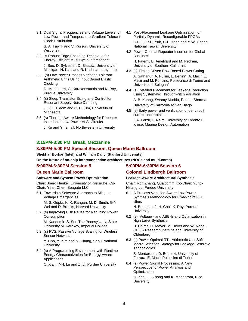3.1 Dual Signal Frequencies and Voltage Levels for Low Power and Temperature-Gradient Tolerant Clock Distribution

S. A. Tawfik and V. Kursun, University of **Wisconsin** 

- 3.2 A Robust Edge Encoding Technique for Energy-Efficient Multi-Cycle Interconnect
	- J. Seo, D. Sylvester, D. Blaauw, University of Michigan H. Kaul and R. Krishnamurthy. Intel
- 3.3 (s) Low Power Process Variation Tolerant Arithmetic Units Using Input Based Elastic Clocking

D. Mohapatra, G. Karakonstantis and K. Roy, Purdue University

- 3.4 (s) Sleep Transistor Sizing and Control for Resonant Supply Noise Damping J. Gu, H. eom and C. H. Kim, University of **Minnesota**
- 3.5 (s) Thermal-Aware Methodology for Repeater Insertion in Low-Power VLSI Circuits
	- J. Ku and Y. Ismail, Northwestern University
- 4.1 Post-Placement Leakage Optimization for Partially Dynamic Reconfigurable FPGAs C-F. Li, P-H. Yuh, C-L. Yang and Y-W. Chang, National Taiwan University
- 4.2 Power Optimal Repeater Insertion for Global Bus lines H. Fatemi, B. Amelifard and M. Pedram, University of Southern California
- 4.3 (s) Timing Driven Row-Based Power Gating A. Sathanur, A. Pullini, L. Benini\*, A. Macii, E. Macii and M. Poncino, Politecnico di Torino and Univerista di Bologna\*
- 4.4 (s) Detailed Placement for Leakage Reduction using Systematic Through-Pitch Variation

A. B. Kahng, Swamy Muddu, Puneet Sharma University of California at San Diego

4.5 (s) Early power grid verification under circuit current uncertainties

I. A. Ferzli, F. Najm, University of Toronto L. Kruse, Magma Design Automation

#### **3:15PM-3:30 PM Break, Mezzanine**

#### **3:30PM-5:00 PM Special Session, Queen Marie Ballroom**

**Shekhar Borkar (Intel) and William Dally (Stanford University)** 

**On the future of on-chip interconnection architectures (NOCs and multi-cores)** 

#### **5:00PM-6:30PM Session 5**

#### **Queen Marie Ballroom**

#### **Software and System Power Optimization**

Chair: Joerg Henkel, University of Karlsruhe, Co-Chair: Yiran Chen, Seagate LLC

5.1 Towards a Software Approach to Mitigate Voltage Emergencies

M. S. Gupta, K. K. Rangan, M. D. Smith, G-Y Wei and D. Brooks, Harvard University

5.2 (s) Improving Disk Reuse for Reducing Power Consumption M. Kandemir, S. Son The Pennsylvania State

University M. Karakoy, Imperial College

5.3 (s) PVS: Passive Voltage Scaling for Wireless Sensor Networks

Y. Cho, Y. Kim and N. Chang, Seoul National **University** 

5.4 (s) A Programming Environment with Runtime Energy Characterization for Energy-Aware Applications

C. Xian, Y-H. Lu and Z .Li, Purdue University

#### **5:00PM-6:30PM Session 6 Colonel Lindbergh Ballroom**

#### **Leakage-Aware Architectural Synthesis**

Chair: Ron Zhang, Qualcomm, Co-Chair: Yung-Hsiang Lu, Purdue University

6.1 A Process Variation Aware Low Power Synthesis Methodology for Fixed-point FIR filters

N. Banerjee, J. H. Choi, K. Roy, Purdue **University** 

6.2 (s) Voltage - and ABB-Island Optimization in High Level Synthesis

D. Helms, O. Mayer, M. Hoyer and W. Nebel, OFFIS Research Institute and University of **Oldenburg** 

- 6.3 (s) Power-Optimal RTL Arithmetic Unit Soft-Macro Selection Strategy for Leakage-Sensitive **Technologies** S. Merdardoni, D. Bertozzi, University of
- Ferrara, E. Macii, Politecino di Torino 6.4 (s) Power Signal Processing: A New
- Perspective for Power Analysis and **Optimization**

Q. Zhou, L. Zhong and K. Mohanram, Rice **University**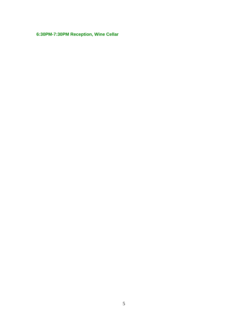**6:30PM-7:30PM Reception, Wine Cellar**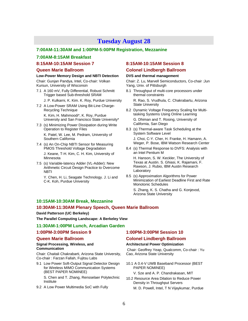### **Tuesday August 28**

#### **7:00AM-11:30AM and 1:00PM-5:00PM Registration, Mezzanine**

#### **7:00AM-8:15AM Breakfast**

#### **8:15AM-10:15AM Session 7**

#### **Queen Marie Ballroom**

#### **Low-Power Memory Design and NBTI Detection**

Chair: Gunjan Pandya, Intel, Co-chair: Volkan Kursun, University of Wisconsin

- 7.1 A 160 mV, Fully Differential, Robust Schmitt Trigger based Sub-threshold SRAM
	- J. P. Kulkarni, K. Kim. K. Roy, Purdue University
- 7.2 A Low-Power SRAM Using Bit-Line Charge-Recycling Technique K. Kim, H. Mahmoodi\*, K. Roy, Purdue University and San Francisco State University\*
- 7.3 (s) Minimizing Power Dissipation during Write Operation to Register Files K. Patel, W. Lee, M. Pedram, University of Southern California
- 7.4 (s) An On-Chip NBTI Sensor for Measuring PMOS Threshold Voltage Degradation J. Keane, T-H. Kim, C. H. Kim, University of **Minnesota**
- 7.5 (s) Variable-latency Adder (VL-Adder): New Arithmetic Circuit Design Practice to Overcome NBTI

Y. Chen, H. Li, Seagate Technology. J. Li and C-K. Koh, Purdue University

### **8:15AM-10:15AM Session 8**

#### **Colonel Lindbergh Ballroom**

#### **DVS and thermal management**

Chair: Z. Lu, Marvell Semiconductors, Co-chair :Jun Yang, Univ. of Pittsburgh

- 8.1 Throughput of multi-core processors under thermal constraints R. Rao, S. Vrudhula, C. Chakrabartu, Arizona State University
- 8.2 Dynamic Voltage Frequency Scaling for Multitasking Systems Using Online Learning G. Dhiman and T. Rosing, University of California, San Diego
- 8.3 (s) Thermal-aware Task Scheduling at the System Software Level

J. Choi, C-Y. Cher, H. Franke, H. Hamann, A. Weger, P. Bose, IBM Watson Research Center

8.4 (s) Thermal Response to DVFS: Analysis with an Intel Pentium M

H. Hanson, S. W. Keckler, The University of Texas at Austin. S. Ghiasi, K. Rajamani, F. Rawson, J. Rubio, IBM Austin Research Laboratory

8.5 (s) Approximation Algorithms for Power Minimization of Earliest Deadline First and Rate Monotonic Schedules

S. Zhang, K. S. Chatha and G. Konjevod, Arizona State University

#### **10:15AM-10:30AM Break, Mezzanine**

#### **10:30AM-11:30AM Plenary Speech, Queen Marie Ballroom**

#### **David Patterson (UC Berkeley)**

**The Parallel Computing Landscape: A Berkeley View** 

#### **11:30AM-1:00PM Lunch, Arcadian Garden**

#### **1:00PM-3:00PM Session 9**

#### **Queen Marie Ballroom**

#### **Signal Processing, Wireless, and Communication**

Chair: Chaitali Chakrabarti, Arizona State University, Co-chair : Farzan Fallah, Fujitsu Labs

9.1 Low Power Soft-Output Signal Detector Design for Wireless MIMO Communication Systems (BEST PAPER NOMINEE)

S. Chen and T. Zhang, Rensselaer Polytechnic Institute

9.2 A Low Power Multimedia SoC with Fully

#### **1:00PM-3:00PM Session 10**

#### **Colonel Lindbergh Ballroom**

#### **Architectural Power Optimization**

 Chair: Geoffrey Yeap, Qualcomm, Co-chair : Yu Cao, Arizona State University

10.1 A 0.4-V UWB Baseband Processor (BEST PAPER NOMINEE)

V. Sze and A. P. Chandrakasan, MIT

10.2 Resource Area Dilation to Reduce Power Density in Throughput Servers M. D. Powell, Intel, T N Vijaykumar, Purdue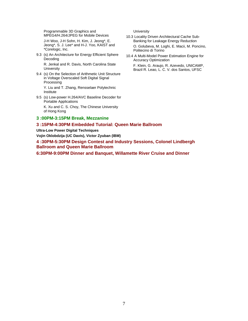Programmable 3D Graphics and MPEG4/H.264/JPEG for Mobile Devices

J-H Woo, J-H Sohn, H. Kim, J. Jeong\*, E. Jeong\*, S. J. Lee\* and H-J. Yoo, KAIST and \*Corelogic, Inc.

9.3 (s) An Architecture for Energy Efficient Sphere Decoding

R. Jenkal and R. Davis, North Carolina State **University** 

9.4 (s) On the Selection of Arithmetic Unit Structure in Voltage Overscaled Soft Digital Signal Processing

Y. Liu and T. Zhang, Rensselaer Polytechnic Institute

9.5 (s) Low-power H.264/AVC Baseline Decoder for Portable Applications

K. Xu and C. S. Choy, The Chinese University of Hong Kong

#### **3 :00PM-3:15PM Break, Mezzanine**

#### **3 :15PM-4:30PM Embedded Tutorial: Queen Marie Ballroom**

**Ultra-Low Power Digital Techniques** 

**Vojin Oklobdzija (UC Davis), Victor Zyuban (IBM)**

**4 :30PM-5:30PM Design Contest and Industry Sessions, Colonel Lindbergh Ballroom and Queen Marie Ballroom** 

**6:30PM-9:00PM Dinner and Banquet, Willamette River Cruise and Dinner** 

**University** 

- 10.3 Locality Driven Architectural Cache Sub-Banking for Leakage Energy Reduction O. Golubeva, M. Loghi, E. Macii, M. Poncino, Politecino di Torino
- 10.4 A Multi-Model Power Estimation Engine for Accuracy Optimization

F. Klein, G. Araujo, R. Azevedo, UNICAMP, Brazil R. Leao, L. C. V. dos Santos, UFSC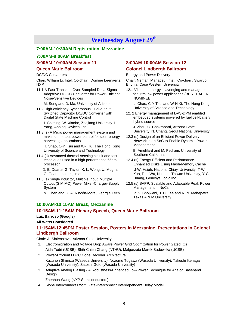# **Wednesday August 29th**

#### **7:00AM-10:30AM Registration, Mezzanine**

#### **7:00AM-8:00AM Breakfast**

#### **8:00AM-10:00AM Session 11**

#### **Queen Marie Ballroom**

#### DC/DC Converters

Chair: William Li, Intel, Co-chair : Domine Leenaerts, NXP

11.1 A Fast-Transient Over-Sampled Delta-Sigma Adaptrive DC-DC Converter for Power-Efficient Noise-Sensitive Devices

M. Song and D. Ma, University of Arizona

- 11.2 High-efficiency Synchronous Dual-output Switched Capacitor DC/DC Converter with Digital State Machine Control
	- H. Shiming, W. Xiaobo, Zhejiang University. L. Yang, Analog Devices, Inc.
- 11.3 (s) A Micro power management system and maximum output power control for solar energy harvesting applications

 H. Shao, C-Y Tsui and W-H Ki, The Hong Kong University of Science and Technology

- 11.4 (s) Advanced thermal sensing circuit and test techniques used in a high performance 65nm processor
	- D. E. Duarte, G. Taylor, K. L. Wong, U. Mughal, G. Geannopoulos, Intel
- 11.5 (s) Single inductor, Multiple Input, Multiple Output (SIMIMO) Power Mixer-Charger-Supply System

M. Chen and G. A. Rincón-Mora, Georgia Tech

#### **8:00AM-10:00AM Session 12 Colonel Lindbergh Ballroom**

Energy and Power Delivery

Chair: Nemani Mahadev, Intel, Co-chair : Swarup Bhunia, Case Western University

12.1 Vibration energy scavenging and management for ultra low power applications (BEST PAPER NOMINEE)

 L. Chao, C-Y Tsui and W-H Ki, The Hong Kong University of Science and Technology

12. 2 Energy management of DVS-DPM enabled embedded systems powered by fuel cell-battery hybrid source

 J. Zhou, C. Chakrabarti, Arizona State University, N. Chang, Seoul National University

12.3 (s) Design of an Efficient Power Delivery Network in an SoC to Enable Dynamic Power Management

 B. Amelifard and M. Pedram, University of Southern California

- 12.4 (s) Energy-Efficient and Performance-Enhanced Disks Using Flash-Memory Cache J-W. Hsieh, National Chiayi University, T-W. Kuo, P-L. Wu, National Taiwan University, Y-C. Huang, Genesys Logic Inc.
- 12.5 (s) SAPP: Scalable and Adaptable Peak Power Management in NoCs P. S. Bhojwani, J. D. Lee and R. N. Mahapatra, Texas A & M University

#### **10:00AM-10:15AM Break, Mezzanine**

#### **10:15AM-11:15AM Plenary Speech, Queen Marie Ballroom**

#### **Luiz Barroso (Google)**

#### **All Watts Considered**

#### **11:15AM-12:45PM Poster Session, Posters in Mezzanine, Presentations in Colonel Lindbergh Ballroom**

#### Chair: A. Shrivastava, Arizona State University

- 1. Electromigration and Voltage Drop Aware Power Grid Optimization for Power Gated ICs Aida Todri (UCSB), Shih-Chieh Chang (NTHU), Malgorzata Marek-Sadowska (UCSB)
- 2. Power-Efficient LDPC Code Decoder Architecture Kazunori Shimizu (Waseda University), Nozomu Togawa (Waseda University), Takeshi Ikenaga (Waseda University), Satoshi Goto (Waseda University)
- 3. Adaptive Analog Biasing A Robustness-Enhanced Low-Power Technique for Analog Baseband Design

Zhenhua Wang (NXP Semiconductors)

4. Slope Interconnect Effort: Gate-Interconnect Interdependent Delay Model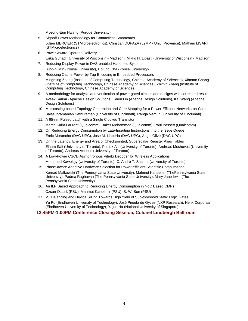Myeong-Eun Hwang (Purdue University)

- 5. Signoff Power Methodology for Contactless Smartcards Julien MERCIER (STMicroelectronics), Christian DUFAZA (L2MP - Univ. Provence), Mathieu LISART (STMicroelectronics)
- 6. Power-Aware Operand Delivery Erika Gunadi (University of Wisconsin - Madison), Mikko H. Lipasti (University of Wisconsin - Madison)
- 7. Reducing Display Power in DVS-enabled Handheld Systems Jung-hi Min (Yonsei University), Hojung Cha (Yonsei University)
- 8. Reducing Cache Power by Tag Encoding in Embedded Processors Mingming Zhang (Institute of Computing Technology, Chinese Academy of Sciences), Xiaotao Chang (Institute of Computing Technology, Chinese Academy of Sciences), Zhimin Zhang (Institute of Computing Technology, Chinese Academy of Sciences)
- 9. A methodology for analysis and verification of power gated circuits and designs with correlated results Aveek Sarkar (Apache Design Solutions), Shen Lin (Apache Design Solutions), Kai Wang (Apache Design Solutions)
- 10. Multicasting based Topology Generation and Core Mapping for a Power Efficient Networks-on-Chip Balasubramanian Sethuraman (University of Cincinnati), Ranga Vemuri (University of Cincinnati)
- 11. A 65-nm Pulsed Latch with a Single Clocked Transistor Martin Saint-Laurent (Qualcomm), Baker Mohammad (Qualcomm), Paul Bassett (Qualcomm)
- 12. On Reducing Energy Consumption by Late-Inserting Instructions into the Issue Queue Enric Morancho (DAC-UPC), Jose M. Llabería (DAC-UPC), Àngel Olivé (DAC-UPC)
- 13. On the Latency, Energy and Area of Checkpointed, Superscalar Register Alias Tables Elham Safi (University of Toronto), Patrick Akl (University of Toronto), Andreas Moshovos (University of Toronto), Andreas Veneris (University of Toronto)
- 14. A Low-Power CSCD Asynchronous Viterbi Decoder for Wireless Applications Mohamed Kawokgy (University of Toronto), C. André T. Salama (University of Toronto)
- 15. Phase-aware Adaptive Hardware Selection for Power-efficient Scientific Computations Konrad Malkowski (The Pennsylvania State University), Mahmut Kandemir (ThePennsylvania State University), Padma Raghavan (The Pennsylvania State University), Mary Jane Irwin (The Pennsylvania State University)
- 16. An ILP Based Approach to Reducing Energy Consumption in NoC Based CMPs Ozcan Ozturk (PSU), Mahmut Kandemir (PSU), S.-W. Son (PSU)
- 17. VT Balancing and Device Sizing Towards High Yield of Sub-threshold Static Logic Gates Yu Pu (Eindhoven University of Technology), José Pineda de Gyvez (NXP Research), Henk Corporaal (Eindhoven University of Technology), Yajun Ha (National University of Singapore)

**12:45PM-1:00PM Conference Closing Session, Colonel Lindbergh Ballroom**